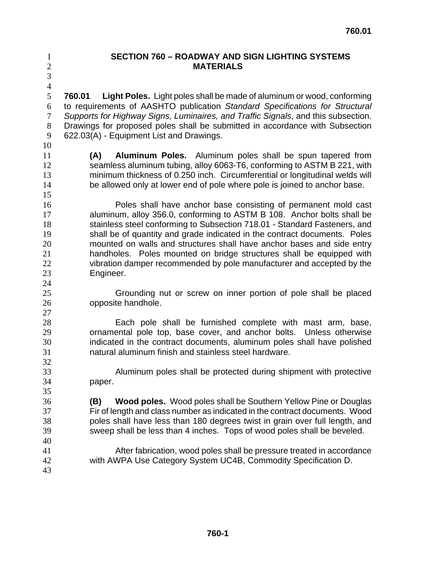## **SECTION 760 – ROADWAY AND SIGN LIGHTING SYSTEMS MATERIALS**

**760.01 Light Poles.** Light poles shall be made of aluminum or wood, conforming to requirements of AASHTO publication *Standard Specifications for Structural Supports for Highway Signs, Luminaires, and Traffic Signals*, and this subsection. Drawings for proposed poles shall be submitted in accordance with Subsection 622.03(A) - Equipment List and Drawings.

 

**(A) Aluminum Poles.** Aluminum poles shall be spun tapered from seamless aluminum tubing, alloy 6063-T6, conforming to ASTM B 221, with minimum thickness of 0.250 inch. Circumferential or longitudinal welds will 14 be allowed only at lower end of pole where pole is joined to anchor base.

Poles shall have anchor base consisting of permanent mold cast aluminum, alloy 356.0, conforming to ASTM B 108. Anchor bolts shall be stainless steel conforming to Subsection 718.01 - Standard Fasteners, and shall be of quantity and grade indicated in the contract documents. Poles mounted on walls and structures shall have anchor bases and side entry handholes. Poles mounted on bridge structures shall be equipped with vibration damper recommended by pole manufacturer and accepted by the Engineer.

Grounding nut or screw on inner portion of pole shall be placed opposite handhole.

Each pole shall be furnished complete with mast arm, base, ornamental pole top, base cover, and anchor bolts. Unless otherwise indicated in the contract documents, aluminum poles shall have polished natural aluminum finish and stainless steel hardware.

Aluminum poles shall be protected during shipment with protective paper.

**(B) Wood poles.** Wood poles shall be Southern Yellow Pine or Douglas Fir of length and class number as indicated in the contract documents. Wood poles shall have less than 180 degrees twist in grain over full length, and sweep shall be less than 4 inches. Tops of wood poles shall be beveled.

After fabrication, wood poles shall be pressure treated in accordance with AWPA Use Category System UC4B, Commodity Specification D.

 **760-1**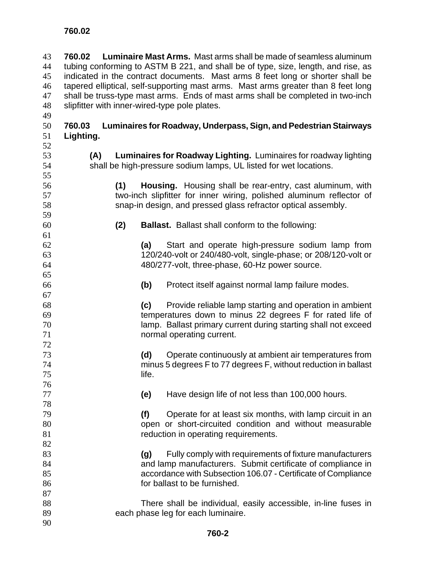**760.02 Luminaire Mast Arms.** Mast arms shall be made of seamless aluminum tubing conforming to ASTM B 221, and shall be of type, size, length, and rise, as indicated in the contract documents. Mast arms 8 feet long or shorter shall be tapered elliptical, self-supporting mast arms. Mast arms greater than 8 feet long shall be truss-type mast arms. Ends of mast arms shall be completed in two-inch slipfitter with inner-wired-type pole plates. **760.02** 

- **760.03 Luminaires for Roadway, Underpass, Sign, and Pedestrian Stairways Lighting.**
- 
- 

**(A) Luminaires for Roadway Lighting.** Luminaires for roadway lighting shall be high-pressure sodium lamps, UL listed for wet locations.

- **(1) Housing.** Housing shall be rear-entry, cast aluminum, with two-inch slipfitter for inner wiring, polished aluminum reflector of snap-in design, and pressed glass refractor optical assembly.
- 

- **(2) Ballast.** Ballast shall conform to the following:
- **(a)** Start and operate high-pressure sodium lamp from 120/240-volt or 240/480-volt, single-phase; or 208/120-volt or 480/277-volt, three-phase, 60-Hz power source.
- **(b)** Protect itself against normal lamp failure modes.
- **(c)** Provide reliable lamp starting and operation in ambient temperatures down to minus 22 degrees F for rated life of lamp. Ballast primary current during starting shall not exceed normal operating current.
- **(d)** Operate continuously at ambient air temperatures from minus 5 degrees F to 77 degrees F, without reduction in ballast life.
- **(e)** Have design life of not less than 100,000 hours.
- **(f)** Operate for at least six months, with lamp circuit in an open or short-circuited condition and without measurable **81 reduction in operating requirements.**
- **(g)** Fully comply with requirements of fixture manufacturers and lamp manufacturers. Submit certificate of compliance in accordance with Subsection 106.07 - Certificate of Compliance for ballast to be furnished.
- There shall be individual, easily accessible, in-line fuses in each phase leg for each luminaire.
-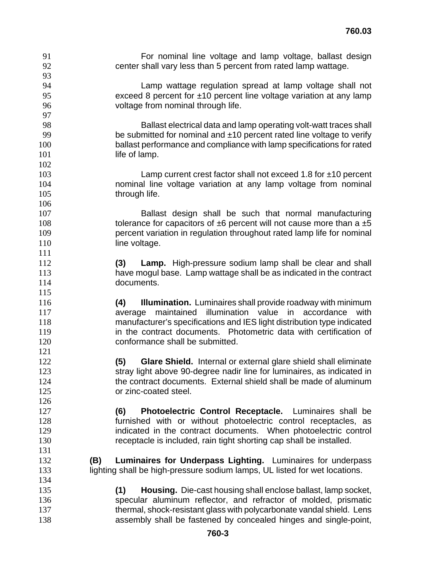| 91         | For nominal line voltage and lamp voltage, ballast design                      |
|------------|--------------------------------------------------------------------------------|
| 92         | center shall vary less than 5 percent from rated lamp wattage.                 |
| 93         |                                                                                |
| 94         | Lamp wattage regulation spread at lamp voltage shall not                       |
| 95         | exceed 8 percent for $\pm 10$ percent line voltage variation at any lamp       |
| 96         | voltage from nominal through life.                                             |
| 97         |                                                                                |
| 98         | Ballast electrical data and lamp operating volt-watt traces shall              |
| 99         | be submitted for nominal and $±10$ percent rated line voltage to verify        |
| 100        | ballast performance and compliance with lamp specifications for rated          |
| 101        | life of lamp.                                                                  |
| 102        |                                                                                |
| 103        | Lamp current crest factor shall not exceed 1.8 for $\pm$ 10 percent            |
| 104        | nominal line voltage variation at any lamp voltage from nominal                |
| 105        | through life.                                                                  |
| 106        |                                                                                |
| 107        | Ballast design shall be such that normal manufacturing                         |
| 108        | tolerance for capacitors of $\pm 6$ percent will not cause more than a $\pm 5$ |
| 109        | percent variation in regulation throughout rated lamp life for nominal         |
| 110        | line voltage.                                                                  |
| 111        |                                                                                |
| 112        | <b>Lamp.</b> High-pressure sodium lamp shall be clear and shall<br>(3)         |
| 113        | have mogul base. Lamp wattage shall be as indicated in the contract            |
| 114        | documents.                                                                     |
| 115        |                                                                                |
| 116        | (4)<br><b>Illumination.</b> Luminaires shall provide roadway with minimum      |
| 117        | average maintained illumination value in accordance<br>with                    |
| 118        | manufacturer's specifications and IES light distribution type indicated        |
| 119        | in the contract documents. Photometric data with certification of              |
| 120        | conformance shall be submitted.                                                |
| 121        |                                                                                |
| 122        | (5)<br>Glare Shield. Internal or external glare shield shall eliminate         |
| 123        | stray light above 90-degree nadir line for luminaires, as indicated in         |
| 124        | the contract documents. External shield shall be made of aluminum              |
| 125        | or zinc-coated steel.                                                          |
| 126        |                                                                                |
| 127        | (6)<br>Photoelectric Control Receptacle. Luminaires shall be                   |
| 128        | furnished with or without photoelectric control receptacles, as                |
| 129        | indicated in the contract documents. When photoelectric control                |
| 130        | receptacle is included, rain tight shorting cap shall be installed.            |
| 131<br>132 |                                                                                |
|            | Luminaires for Underpass Lighting. Luminaires for underpass<br>(B)             |
| 133        | lighting shall be high-pressure sodium lamps, UL listed for wet locations.     |
| 134        |                                                                                |
| 135        | <b>Housing.</b> Die-cast housing shall enclose ballast, lamp socket,<br>(1)    |
| 136<br>137 | specular aluminum reflector, and refractor of molded, prismatic                |
|            | thermal, shock-resistant glass with polycarbonate vandal shield. Lens          |
| 138        | assembly shall be fastened by concealed hinges and single-point,               |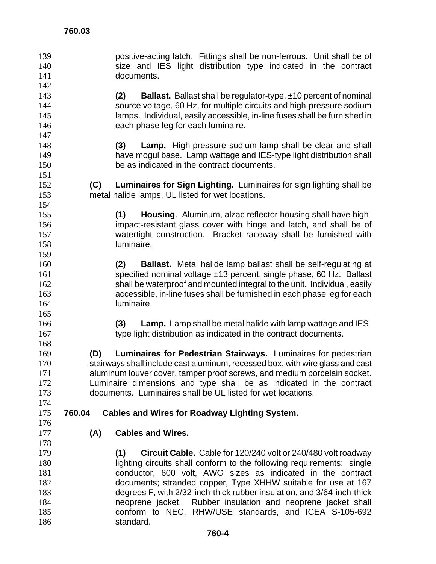positive-acting latch. Fittings shall be non-ferrous. Unit shall be of size and IES light distribution type indicated in the contract documents. **(2) Ballast.** Ballast shall be regulator-type, ±10 percent of nominal source voltage, 60 Hz, for multiple circuits and high-pressure sodium lamps. Individual, easily accessible, in-line fuses shall be furnished in 146 each phase leg for each luminaire. **(3) Lamp.** High-pressure sodium lamp shall be clear and shall have mogul base. Lamp wattage and IES-type light distribution shall be as indicated in the contract documents. **(C) Luminaires for Sign Lighting.** Luminaires for sign lighting shall be metal halide lamps, UL listed for wet locations. **(1) Housing**. Aluminum, alzac reflector housing shall have high-impact-resistant glass cover with hinge and latch, and shall be of watertight construction. Bracket raceway shall be furnished with luminaire. **(2) Ballast.** Metal halide lamp ballast shall be self-regulating at specified nominal voltage ±13 percent, single phase, 60 Hz. Ballast shall be waterproof and mounted integral to the unit. Individual, easily accessible, in-line fuses shall be furnished in each phase leg for each luminaire. **(3) Lamp.** Lamp shall be metal halide with lamp wattage and IES-type light distribution as indicated in the contract documents. **(D) Luminaires for Pedestrian Stairways.** Luminaires for pedestrian stairways shall include cast aluminum, recessed box, with wire glass and cast aluminum louver cover, tamper proof screws, and medium porcelain socket. Luminaire dimensions and type shall be as indicated in the contract documents. Luminaires shall be UL listed for wet locations. **760.03 760.04 Cables and Wires for Roadway Lighting System. (A) Cables and Wires. (1) Circuit Cable.** Cable for 120/240 volt or 240/480 volt roadway lighting circuits shall conform to the following requirements: single conductor, 600 volt, AWG sizes as indicated in the contract documents; stranded copper, Type XHHW suitable for use at 167 degrees F, with 2/32-inch-thick rubber insulation, and 3/64-inch-thick neoprene jacket. Rubber insulation and neoprene jacket shall conform to NEC, RHW/USE standards, and ICEA S-105-692

186 standard.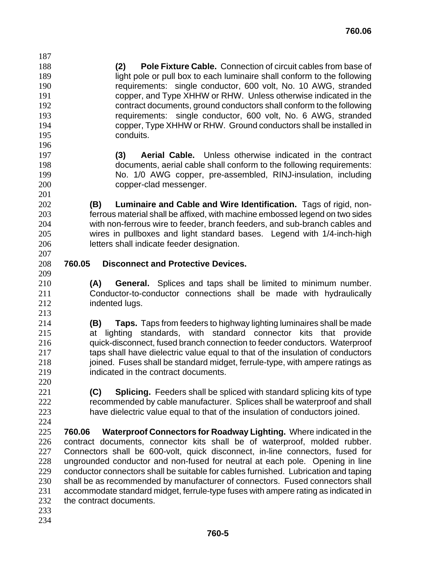**(2) Pole Fixture Cable.** Connection of circuit cables from base of light pole or pull box to each luminaire shall conform to the following requirements: single conductor, 600 volt, No. 10 AWG, stranded copper, and Type XHHW or RHW. Unless otherwise indicated in the contract documents, ground conductors shall conform to the following requirements: single conductor, 600 volt, No. 6 AWG, stranded copper, Type XHHW or RHW. Ground conductors shall be installed in conduits. 

- **(3) Aerial Cable.** Unless otherwise indicated in the contract documents, aerial cable shall conform to the following requirements: No. 1/0 AWG copper, pre-assembled, RINJ-insulation, including copper-clad messenger.
- **(B) Luminaire and Cable and Wire Identification.** Tags of rigid, non-ferrous material shall be affixed, with machine embossed legend on two sides with non-ferrous wire to feeder, branch feeders, and sub-branch cables and wires in pullboxes and light standard bases. Legend with 1/4-inch-high letters shall indicate feeder designation.
- 

- **760.05 Disconnect and Protective Devices.**
- **(A) General.** Splices and taps shall be limited to minimum number. Conductor-to-conductor connections shall be made with hydraulically **indented lugs.**
- **(B) Taps.** Taps from feeders to highway lighting luminaires shall be made at lighting standards, with standard connector kits that provide quick-disconnect, fused branch connection to feeder conductors. Waterproof taps shall have dielectric value equal to that of the insulation of conductors 218 joined. Fuses shall be standard midget, ferrule-type, with ampere ratings as indicated in the contract documents.
- **(C) Splicing.** Feeders shall be spliced with standard splicing kits of type recommended by cable manufacturer. Splices shall be waterproof and shall have dielectric value equal to that of the insulation of conductors joined. **760.05**
- **760.06 Waterproof Connectors for Roadway Lighting.** Where indicated in the contract documents, connector kits shall be of waterproof, molded rubber. Connectors shall be 600-volt, quick disconnect, in-line connectors, fused for ungrounded conductor and non-fused for neutral at each pole. Opening in line conductor connectors shall be suitable for cables furnished. Lubrication and taping shall be as recommended by manufacturer of connectors. Fused connectors shall accommodate standard midget, ferrule-type fuses with ampere rating as indicated in the contract documents.
- 
-